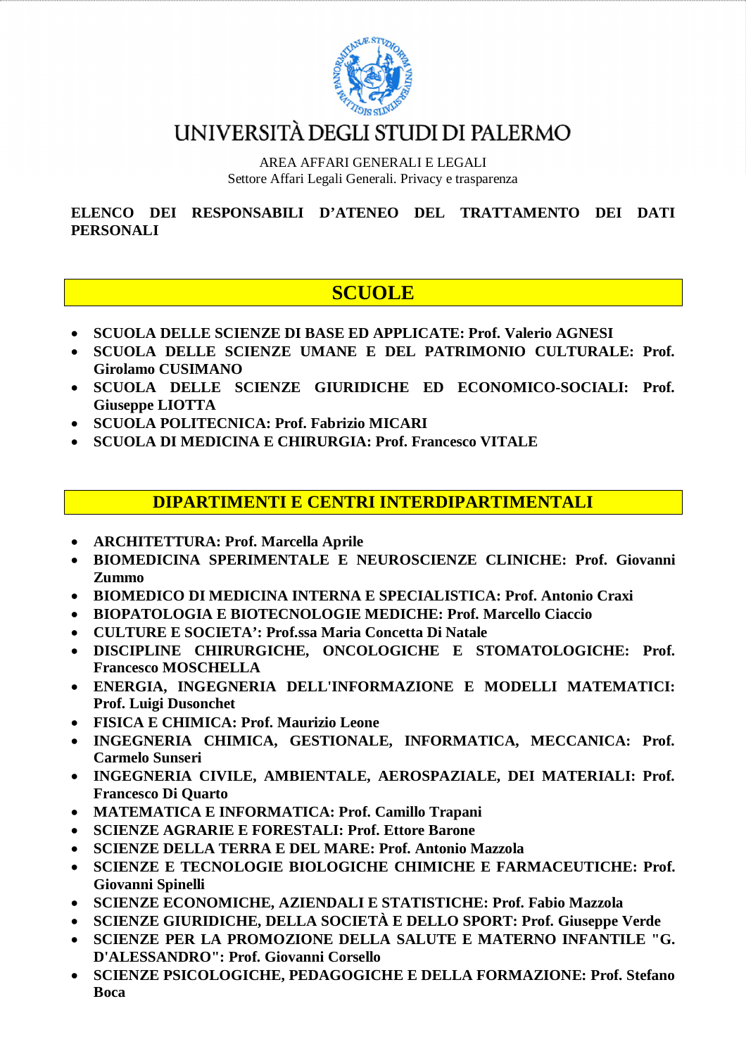

## UNIVERSITÀ DEGLI STUDI DI PALERMO

AREA AFFARI GENERALI E LEGALI Settore Affari Legali Generali. Privacy e trasparenza

**ELENCO DEI RESPONSABILI D'ATENEO DEL TRATTAMENTO DEI DATI PERSONALI**

### **SCUOLE**

- **SCUOLA DELLE SCIENZE DI BASE ED APPLICATE: Prof. Valerio AGNESI**
- **SCUOLA DELLE SCIENZE UMANE E DEL PATRIMONIO CULTURALE: Prof. Girolamo CUSIMANO**
- **SCUOLA DELLE SCIENZE GIURIDICHE ED ECONOMICO-SOCIALI: Prof. Giuseppe LIOTTA**
- **SCUOLA POLITECNICA: Prof. Fabrizio MICARI**
- **SCUOLA DI MEDICINA E CHIRURGIA: Prof. Francesco VITALE**

#### **DIPARTIMENTI E CENTRI INTERDIPARTIMENTALI**

- **ARCHITETTURA: Prof. Marcella Aprile**
- **BIOMEDICINA SPERIMENTALE E NEUROSCIENZE CLINICHE: Prof. Giovanni Zummo**
- **BIOMEDICO DI MEDICINA INTERNA E SPECIALISTICA: Prof. Antonio Craxi**
- **BIOPATOLOGIA E BIOTECNOLOGIE MEDICHE: Prof. Marcello Ciaccio**
- **CULTURE E SOCIETA': Prof.ssa Maria Concetta Di Natale**
- **DISCIPLINE CHIRURGICHE, ONCOLOGICHE E STOMATOLOGICHE: Prof. Francesco MOSCHELLA**
- **ENERGIA, INGEGNERIA DELL'INFORMAZIONE E MODELLI MATEMATICI: Prof. Luigi Dusonchet**
- **FISICA E CHIMICA: Prof. Maurizio Leone**
- **INGEGNERIA CHIMICA, GESTIONALE, INFORMATICA, MECCANICA: Prof. Carmelo Sunseri**
- **INGEGNERIA CIVILE, AMBIENTALE, AEROSPAZIALE, DEI MATERIALI: Prof. Francesco Di Quarto**
- **MATEMATICA E INFORMATICA: Prof. Camillo Trapani**
- **SCIENZE AGRARIE E FORESTALI: Prof. Ettore Barone**
- **SCIENZE DELLA TERRA E DEL MARE: Prof. Antonio Mazzola**
- **SCIENZE E TECNOLOGIE BIOLOGICHE CHIMICHE E FARMACEUTICHE: Prof. Giovanni Spinelli**
- **SCIENZE ECONOMICHE, AZIENDALI E STATISTICHE: Prof. Fabio Mazzola**
- **SCIENZE GIURIDICHE, DELLA SOCIETÀ E DELLO SPORT: Prof. Giuseppe Verde**
- **SCIENZE PER LA PROMOZIONE DELLA SALUTE E MATERNO INFANTILE "G. D'ALESSANDRO": Prof. Giovanni Corsello**
- **SCIENZE PSICOLOGICHE, PEDAGOGICHE E DELLA FORMAZIONE: Prof. Stefano Boca**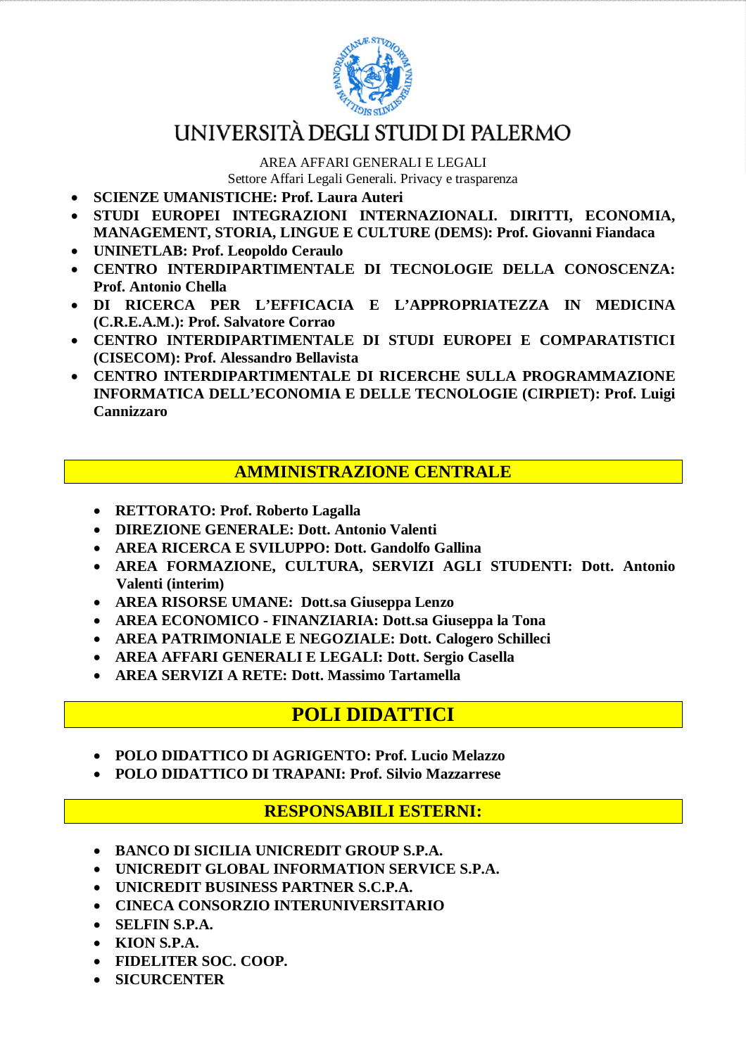

# UNIVERSITÀ DEGLI STUDI DI PALERMO

AREA AFFARI GENERALI E LEGALI Settore Affari Legali Generali. Privacy e trasparenza

- **SCIENZE UMANISTICHE: Prof. Laura Auteri**
- **STUDI EUROPEI INTEGRAZIONI INTERNAZIONALI. DIRITTI, ECONOMIA, MANAGEMENT, STORIA, LINGUE E CULTURE (DEMS): Prof. Giovanni Fiandaca**
- **UNINETLAB: Prof. Leopoldo Ceraulo**
- **CENTRO INTERDIPARTIMENTALE DI TECNOLOGIE DELLA CONOSCENZA: Prof. Antonio Chella**
- **DI RICERCA PER L'EFFICACIA E L'APPROPRIATEZZA IN MEDICINA (C.R.E.A.M.): Prof. Salvatore Corrao**
- **CENTRO INTERDIPARTIMENTALE DI STUDI EUROPEI E COMPARATISTICI (CISECOM): Prof. Alessandro Bellavista**
- **CENTRO INTERDIPARTIMENTALE DI RICERCHE SULLA PROGRAMMAZIONE INFORMATICA DELL'ECONOMIA E DELLE TECNOLOGIE (CIRPIET): Prof. Luigi Cannizzaro**

#### **AMMINISTRAZIONE CENTRALE**

- **RETTORATO: Prof. Roberto Lagalla**
- **DIREZIONE GENERALE: Dott. Antonio Valenti**
- **AREA RICERCA E SVILUPPO: Dott. Gandolfo Gallina**
- **AREA FORMAZIONE, CULTURA, SERVIZI AGLI STUDENTI: Dott. Antonio Valenti (interim)**
- **AREA RISORSE UMANE: Dott.sa Giuseppa Lenzo**
- **AREA ECONOMICO - FINANZIARIA: Dott.sa Giuseppa la Tona**
- **AREA PATRIMONIALE E NEGOZIALE: Dott. Calogero Schilleci**
- **AREA AFFARI GENERALI E LEGALI: Dott. Sergio Casella**
- **AREA SERVIZI A RETE: Dott. Massimo Tartamella**

### **POLI DIDATTICI**

- **POLO DIDATTICO DI AGRIGENTO: Prof. Lucio Melazzo**
- **POLO DIDATTICO DI TRAPANI: Prof. Silvio Mazzarrese**

#### **RESPONSABILI ESTERNI:**

- **BANCO DI SICILIA UNICREDIT GROUP S.P.A.**
- **UNICREDIT GLOBAL INFORMATION SERVICE S.P.A.**
- **UNICREDIT BUSINESS PARTNER S.C.P.A.**
- **CINECA CONSORZIO INTERUNIVERSITARIO**
- **SELFIN S.P.A.**
- **KION S.P.A.**
- **FIDELITER SOC. COOP.**
- **SICURCENTER**